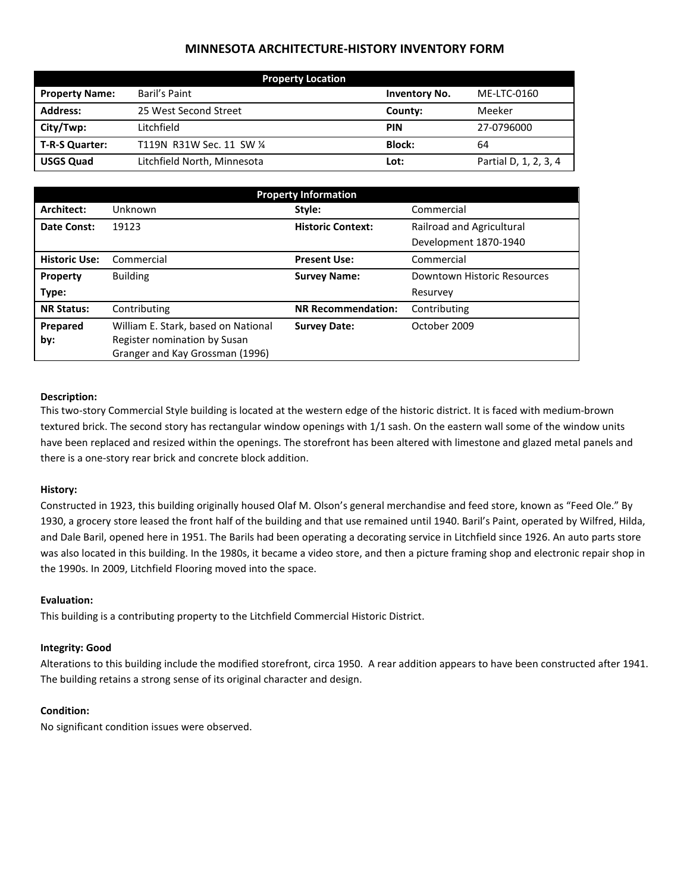# **MINNESOTA ARCHITECTURE-HISTORY INVENTORY FORM**

| <b>Property Location</b> |                             |                      |                       |  |
|--------------------------|-----------------------------|----------------------|-----------------------|--|
| <b>Property Name:</b>    | Baril's Paint               | <b>Inventory No.</b> | ME-LTC-0160           |  |
| <b>Address:</b>          | 25 West Second Street       | County:              | Meeker                |  |
| City/Twp:                | Litchfield                  | <b>PIN</b>           | 27-0796000            |  |
| T-R-S Quarter:           | T119N R31W Sec. 11 SW 1/4   | <b>Block:</b>        | 64                    |  |
| <b>USGS Quad</b>         | Litchfield North, Minnesota | Lot:                 | Partial D, 1, 2, 3, 4 |  |

| <b>Property Information</b> |                                                                 |                           |                             |  |
|-----------------------------|-----------------------------------------------------------------|---------------------------|-----------------------------|--|
| Architect:                  | Unknown                                                         | Style:                    | Commercial                  |  |
| Date Const:                 | 19123                                                           | <b>Historic Context:</b>  | Railroad and Agricultural   |  |
|                             |                                                                 |                           | Development 1870-1940       |  |
| <b>Historic Use:</b>        | Commercial                                                      | <b>Present Use:</b>       | Commercial                  |  |
| Property                    | <b>Building</b>                                                 | <b>Survey Name:</b>       | Downtown Historic Resources |  |
| Type:                       |                                                                 |                           | Resurvey                    |  |
| <b>NR Status:</b>           | Contributing                                                    | <b>NR Recommendation:</b> | Contributing                |  |
| Prepared                    | William E. Stark, based on National                             | <b>Survey Date:</b>       | October 2009                |  |
| by:                         | Register nomination by Susan<br>Granger and Kay Grossman (1996) |                           |                             |  |
|                             |                                                                 |                           |                             |  |

# **Description:**

This two-story Commercial Style building is located at the western edge of the historic district. It is faced with medium-brown textured brick. The second story has rectangular window openings with 1/1 sash. On the eastern wall some of the window units have been replaced and resized within the openings. The storefront has been altered with limestone and glazed metal panels and there is a one-story rear brick and concrete block addition.

# **History:**

Constructed in 1923, this building originally housed Olaf M. Olson's general merchandise and feed store, known as "Feed Ole." By 1930, a grocery store leased the front half of the building and that use remained until 1940. Baril's Paint, operated by Wilfred, Hilda, and Dale Baril, opened here in 1951. The Barils had been operating a decorating service in Litchfield since 1926. An auto parts store was also located in this building. In the 1980s, it became a video store, and then a picture framing shop and electronic repair shop in the 1990s. In 2009, Litchfield Flooring moved into the space.

# **Evaluation:**

This building is a contributing property to the Litchfield Commercial Historic District.

### **Integrity: Good**

Alterations to this building include the modified storefront, circa 1950. A rear addition appears to have been constructed after 1941. The building retains a strong sense of its original character and design.

### **Condition:**

No significant condition issues were observed.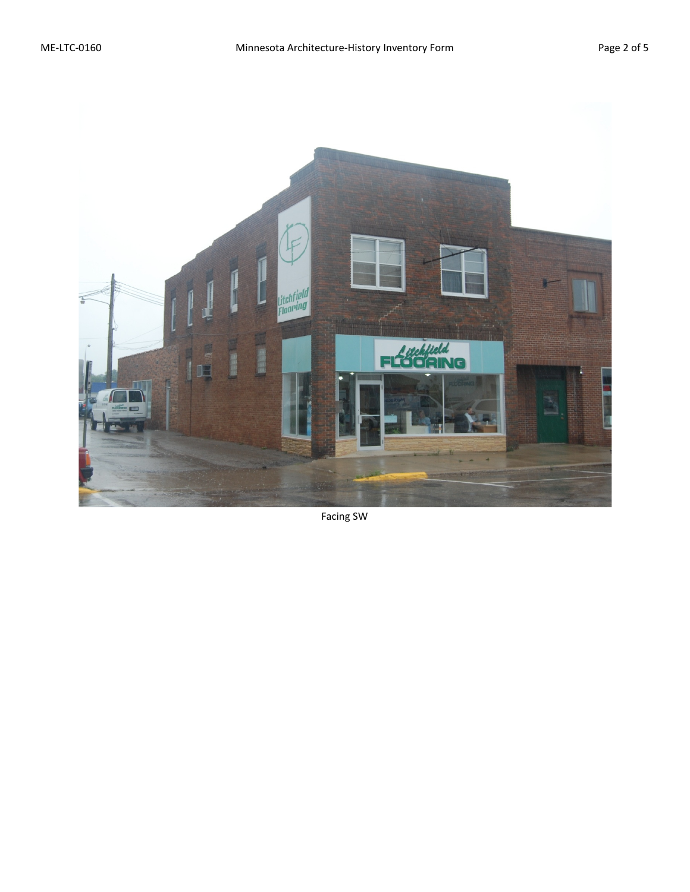

Facing SW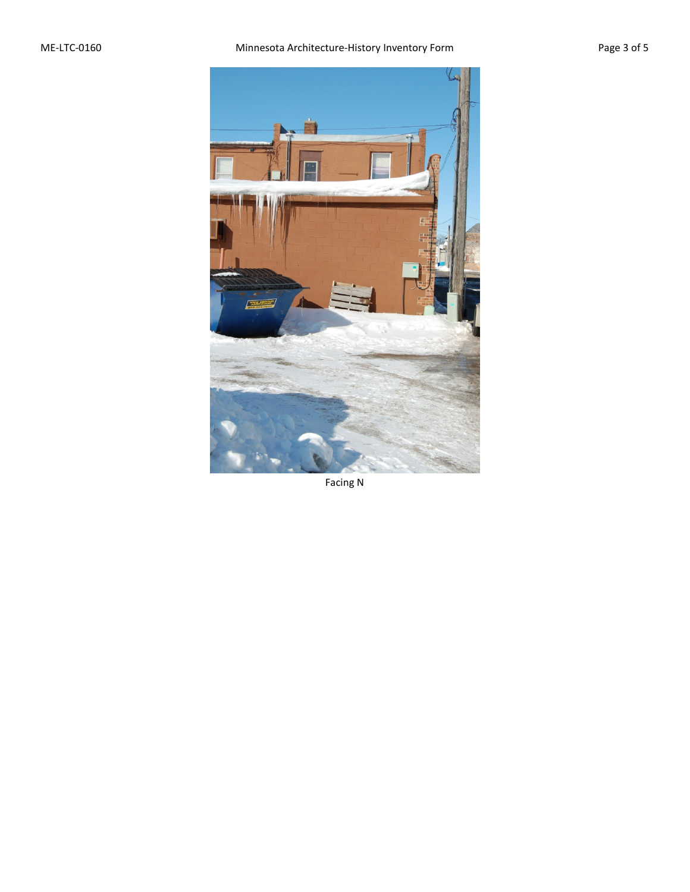

Facing N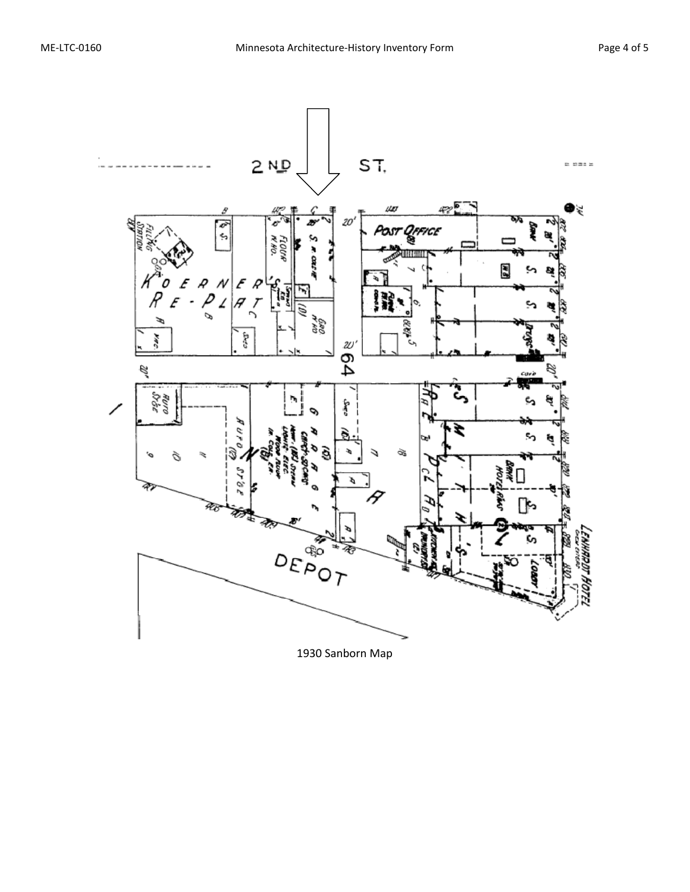